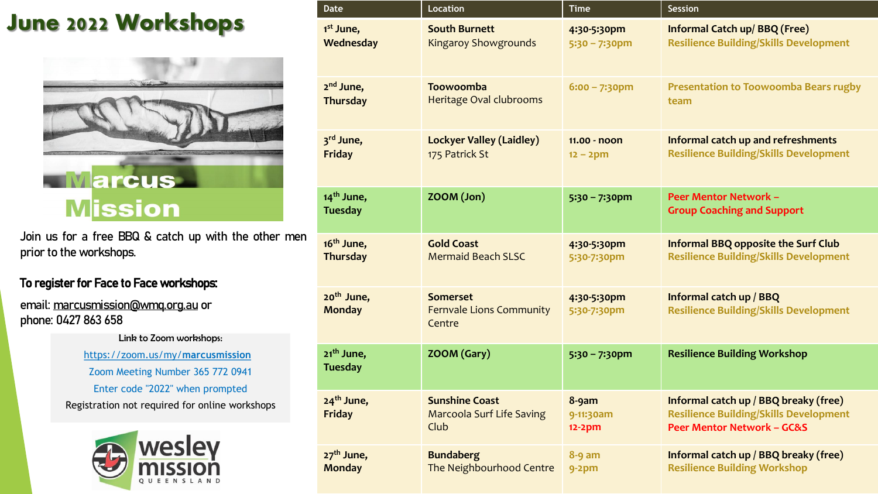### **June 2022 Workshops**



Join us for a free BBQ & catch up with the other men prior to the workshops.

#### To register for Face to Face workshops:

email: [marcusmission@wmq.org.au](mailto:marcusmission@wmq.org.au) or phone: 0427 863 658

> Link to Zoom workshops: [https://zoom.us/my/](https://zoom.us/my/marcusmission)**marcusmission** Zoom Meeting Number 365 772 0941 Enter code "2022" when prompted Registration not required for online workshops



| <b>Date</b>                              | <b>Location</b>                                                   | <b>Time</b>                    | Session                                                                                                                         |
|------------------------------------------|-------------------------------------------------------------------|--------------------------------|---------------------------------------------------------------------------------------------------------------------------------|
| 1 <sup>st</sup> June,                    | <b>South Burnett</b>                                              | 4:30-5:30pm                    | <b>Informal Catch up/BBQ (Free)</b>                                                                                             |
| Wednesday                                | <b>Kingaroy Showgrounds</b>                                       | $5:30 - 7:30$ pm               | <b>Resilience Building/Skills Development</b>                                                                                   |
| 2 <sup>nd</sup> June,                    | Toowoomba                                                         | $6:00 - 7:30$ pm               | <b>Presentation to Toowoomba Bears rugby</b>                                                                                    |
| <b>Thursday</b>                          | Heritage Oval clubrooms                                           |                                | team                                                                                                                            |
| 3rd June,                                | <b>Lockyer Valley (Laidley)</b>                                   | 11.00 - noon                   | Informal catch up and refreshments                                                                                              |
| <b>Friday</b>                            | 175 Patrick St                                                    | $12 - 2pm$                     | <b>Resilience Building/Skills Development</b>                                                                                   |
| 14 <sup>th</sup> June,<br><b>Tuesday</b> | ZOOM (Jon)                                                        | $5:30 - 7:30$ pm               | <b>Peer Mentor Network -</b><br><b>Group Coaching and Support</b>                                                               |
| 16 <sup>th</sup> June,                   | <b>Gold Coast</b>                                                 | 4:30-5:30pm                    | <b>Informal BBQ opposite the Surf Club</b>                                                                                      |
| <b>Thursday</b>                          | <b>Mermaid Beach SLSC</b>                                         | 5:30-7:30pm                    | <b>Resilience Building/Skills Development</b>                                                                                   |
| 20 <sup>th</sup> June,<br><b>Monday</b>  | <b>Somerset</b><br><b>Fernvale Lions Community</b><br>Centre      | 4:30-5:30pm<br>5:30-7:30pm     | Informal catch up / BBQ<br><b>Resilience Building/Skills Development</b>                                                        |
| 21 <sup>th</sup> June,<br><b>Tuesday</b> | ZOOM (Gary)                                                       | $5:30 - 7:30$ pm               | <b>Resilience Building Workshop</b>                                                                                             |
| $24th$ June,<br>Friday                   | <b>Sunshine Coast</b><br><b>Marcoola Surf Life Saving</b><br>Club | 8-9am<br>9-11:30am<br>$12-2pm$ | Informal catch up / BBQ breaky (free)<br><b>Resilience Building/Skills Development</b><br><b>Peer Mentor Network - GC&amp;S</b> |
| 27 <sup>th</sup> June,                   | <b>Bundaberg</b>                                                  | $8 - 9$ am                     | Informal catch up / BBQ breaky (free)                                                                                           |
| <b>Monday</b>                            | The Neighbourhood Centre                                          | $9-2pm$                        | <b>Resilience Building Workshop</b>                                                                                             |